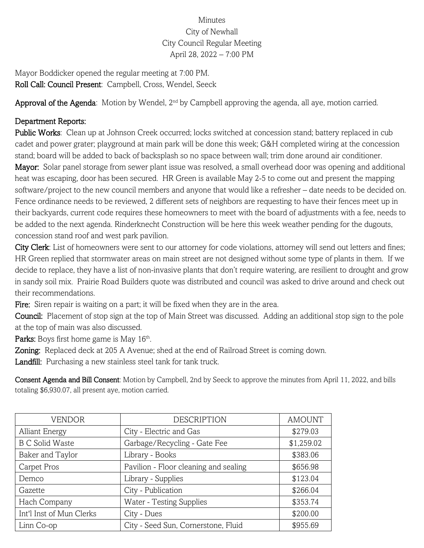## Minutes City of Newhall City Council Regular Meeting April 28, 2022 – 7:00 PM

Mayor Boddicker opened the regular meeting at 7:00 PM. Roll Call: Council Present: Campbell, Cross, Wendel, Seeck

Approval of the Agenda: Motion by Wendel, 2<sup>nd</sup> by Campbell approving the agenda, all aye, motion carried.

## Department Reports:

Public Works: Clean up at Johnson Creek occurred; locks switched at concession stand; battery replaced in cub cadet and power grater; playground at main park will be done this week; G&H completed wiring at the concession stand; board will be added to back of backsplash so no space between wall; trim done around air conditioner. Mayor: Solar panel storage from sewer plant issue was resolved, a small overhead door was opening and additional heat was escaping, door has been secured. HR Green is available May 2-5 to come out and present the mapping software/project to the new council members and anyone that would like a refresher – date needs to be decided on. Fence ordinance needs to be reviewed, 2 different sets of neighbors are requesting to have their fences meet up in their backyards, current code requires these homeowners to meet with the board of adjustments with a fee, needs to be added to the next agenda. Rinderknecht Construction will be here this week weather pending for the dugouts, concession stand roof and west park pavilion.

City Clerk: List of homeowners were sent to our attorney for code violations, attorney will send out letters and fines; HR Green replied that stormwater areas on main street are not designed without some type of plants in them. If we decide to replace, they have a list of non-invasive plants that don't require watering, are resilient to drought and grow in sandy soil mix. Prairie Road Builders quote was distributed and council was asked to drive around and check out their recommendations.

Fire: Siren repair is waiting on a part; it will be fixed when they are in the area.

Council: Placement of stop sign at the top of Main Street was discussed. Adding an additional stop sign to the pole at the top of main was also discussed.

Parks: Boys first home game is May 16th.

Zoning: Replaced deck at 205 A Avenue; shed at the end of Railroad Street is coming down.

Landfill: Purchasing a new stainless steel tank for tank truck.

Consent Agenda and Bill Consent: Motion by Campbell, 2nd by Seeck to approve the minutes from April 11, 2022, and bills totaling \$6,930.07, all present aye, motion carried.

| <b>VENDOR</b>            | <b>DESCRIPTION</b>                    | <b>AMOUNT</b> |
|--------------------------|---------------------------------------|---------------|
| <b>Alliant Energy</b>    | City - Electric and Gas               | \$279.03      |
| <b>B C Solid Waste</b>   | Garbage/Recycling - Gate Fee          | \$1,259.02    |
| Baker and Taylor         | Library - Books                       | \$383.06      |
| Carpet Pros              | Pavilion - Floor cleaning and sealing | \$656.98      |
| Demco                    | Library - Supplies                    | \$123.04      |
| Gazette                  | City - Publication                    | \$266.04      |
| Hach Company             | <b>Water - Testing Supplies</b>       | \$353.74      |
| Int'l Inst of Mun Clerks | City - Dues                           | \$200.00      |
| Linn Co-op               | City - Seed Sun, Cornerstone, Fluid   | \$955.69      |